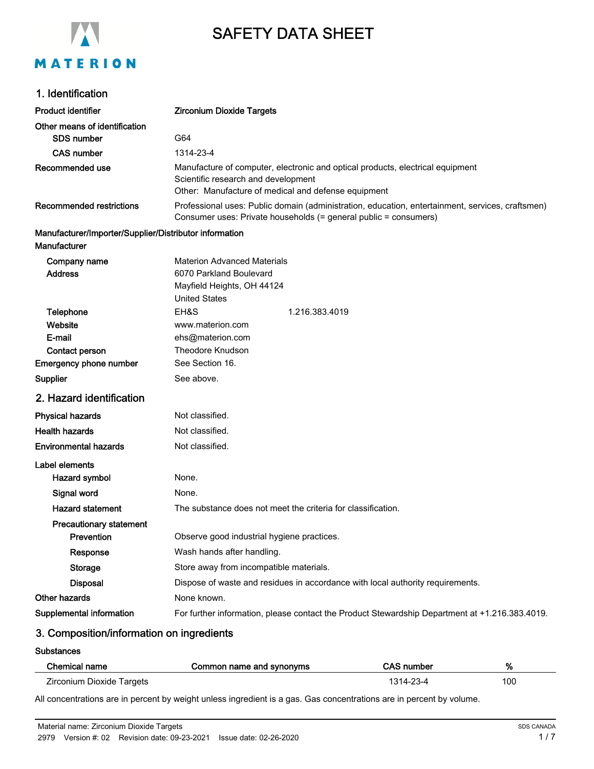

# SAFETY DATA SHEET

# 1. Identification

| <b>Product identifier</b>                              | <b>Zirconium Dioxide Targets</b>                                                                                                                                             |  |
|--------------------------------------------------------|------------------------------------------------------------------------------------------------------------------------------------------------------------------------------|--|
| Other means of identification                          |                                                                                                                                                                              |  |
| <b>SDS number</b>                                      | G64                                                                                                                                                                          |  |
| <b>CAS number</b>                                      | 1314-23-4                                                                                                                                                                    |  |
| Recommended use                                        | Manufacture of computer, electronic and optical products, electrical equipment<br>Scientific research and development<br>Other: Manufacture of medical and defense equipment |  |
|                                                        |                                                                                                                                                                              |  |
| <b>Recommended restrictions</b>                        | Professional uses: Public domain (administration, education, entertainment, services, craftsmen)                                                                             |  |
|                                                        | Consumer uses: Private households (= general public = consumers)                                                                                                             |  |
| Manufacturer/Importer/Supplier/Distributor information |                                                                                                                                                                              |  |
| Manufacturer                                           |                                                                                                                                                                              |  |
| Company name                                           | <b>Materion Advanced Materials</b>                                                                                                                                           |  |
| <b>Address</b>                                         | 6070 Parkland Boulevard                                                                                                                                                      |  |
|                                                        | Mayfield Heights, OH 44124                                                                                                                                                   |  |
|                                                        | <b>United States</b>                                                                                                                                                         |  |
| Telephone                                              | EH&S<br>1.216.383.4019                                                                                                                                                       |  |
| Website                                                | www.materion.com                                                                                                                                                             |  |
| E-mail                                                 | ehs@materion.com                                                                                                                                                             |  |
| Contact person                                         | <b>Theodore Knudson</b>                                                                                                                                                      |  |
| <b>Emergency phone number</b>                          | See Section 16.                                                                                                                                                              |  |
| Supplier                                               | See above.                                                                                                                                                                   |  |
| 2. Hazard identification                               |                                                                                                                                                                              |  |
| <b>Physical hazards</b>                                | Not classified.                                                                                                                                                              |  |
| <b>Health hazards</b>                                  | Not classified.                                                                                                                                                              |  |
| <b>Environmental hazards</b>                           | Not classified.                                                                                                                                                              |  |
| Label elements                                         |                                                                                                                                                                              |  |
| Hazard symbol                                          | None.                                                                                                                                                                        |  |
| Signal word                                            | None.                                                                                                                                                                        |  |
| <b>Hazard statement</b>                                | The substance does not meet the criteria for classification.                                                                                                                 |  |
| <b>Precautionary statement</b>                         |                                                                                                                                                                              |  |
| Prevention                                             | Observe good industrial hygiene practices.                                                                                                                                   |  |
| Response                                               | Wash hands after handling.                                                                                                                                                   |  |
| Storage                                                | Store away from incompatible materials.                                                                                                                                      |  |
| <b>Disposal</b>                                        | Dispose of waste and residues in accordance with local authority requirements.                                                                                               |  |
| Other hazards                                          | None known.                                                                                                                                                                  |  |
| Supplemental information                               | For further information, please contact the Product Stewardship Department at +1.216.383.4019.                                                                               |  |
|                                                        |                                                                                                                                                                              |  |

# 3. Composition/information on ingredients

#### **Substances**

| Chemical name             | Common name and synonyms | <b>CAS number</b> | %   |
|---------------------------|--------------------------|-------------------|-----|
| Zirconium Dioxide Targets |                          | 1314-23-4         | 100 |

All concentrations are in percent by weight unless ingredient is a gas. Gas concentrations are in percent by volume.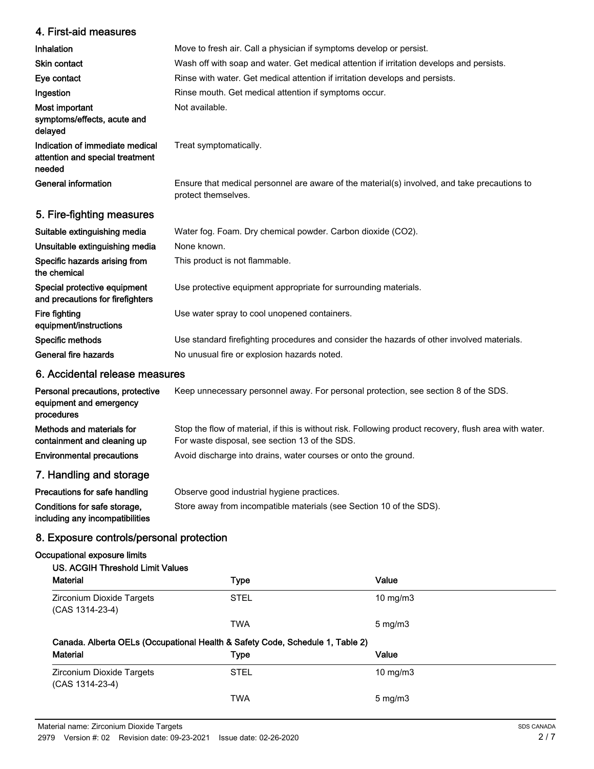# 4. First-aid measures

| Inhalation                                                                   | Move to fresh air. Call a physician if symptoms develop or persist.                                                 |
|------------------------------------------------------------------------------|---------------------------------------------------------------------------------------------------------------------|
| <b>Skin contact</b>                                                          | Wash off with soap and water. Get medical attention if irritation develops and persists.                            |
| Eye contact                                                                  | Rinse with water. Get medical attention if irritation develops and persists.                                        |
| Ingestion                                                                    | Rinse mouth. Get medical attention if symptoms occur.                                                               |
| Most important<br>symptoms/effects, acute and<br>delayed                     | Not available.                                                                                                      |
| Indication of immediate medical<br>attention and special treatment<br>needed | Treat symptomatically.                                                                                              |
| General information                                                          | Ensure that medical personnel are aware of the material(s) involved, and take precautions to<br>protect themselves. |
| 5. Fire-fighting measures                                                    |                                                                                                                     |
|                                                                              |                                                                                                                     |

| Water fog. Foam. Dry chemical powder. Carbon dioxide (CO2).                                |
|--------------------------------------------------------------------------------------------|
| None known.                                                                                |
| This product is not flammable.                                                             |
| Use protective equipment appropriate for surrounding materials.                            |
| Use water spray to cool unopened containers.                                               |
| Use standard firefighting procedures and consider the hazards of other involved materials. |
| No unusual fire or explosion hazards noted.                                                |
|                                                                                            |

# 6. Accidental release measures

| Personal precautions, protective<br>equipment and emergency<br>procedures | Keep unnecessary personnel away. For personal protection, see section 8 of the SDS.                                                                      |
|---------------------------------------------------------------------------|----------------------------------------------------------------------------------------------------------------------------------------------------------|
| Methods and materials for<br>containment and cleaning up                  | Stop the flow of material, if this is without risk. Following product recovery, flush area with water.<br>For waste disposal, see section 13 of the SDS. |
| <b>Environmental precautions</b>                                          | Avoid discharge into drains, water courses or onto the ground.                                                                                           |
| 7. Handling and storage                                                   |                                                                                                                                                          |

| Precautions for safe handling   | Observe good industrial hygiene practices.                          |
|---------------------------------|---------------------------------------------------------------------|
| Conditions for safe storage.    | Store away from incompatible materials (see Section 10 of the SDS). |
| including any incompatibilities |                                                                     |

# 8. Exposure controls/personal protection

# Occupational exposure limits

# US. ACGIH Threshold Limit Values

| <b>Material</b>                                                               | <b>Type</b> | Value             |
|-------------------------------------------------------------------------------|-------------|-------------------|
| Zirconium Dioxide Targets<br>(CAS 1314-23-4)                                  | <b>STEL</b> | $10 \text{ mg/m}$ |
|                                                                               | <b>TWA</b>  | $5 \text{ mg/m}$  |
|                                                                               |             |                   |
| Canada. Alberta OELs (Occupational Health & Safety Code, Schedule 1, Table 2) |             |                   |
| <b>Material</b>                                                               | <b>Type</b> | Value             |
| Zirconium Dioxide Targets<br>(CAS 1314-23-4)                                  | <b>STEL</b> | $10 \text{ mg/m}$ |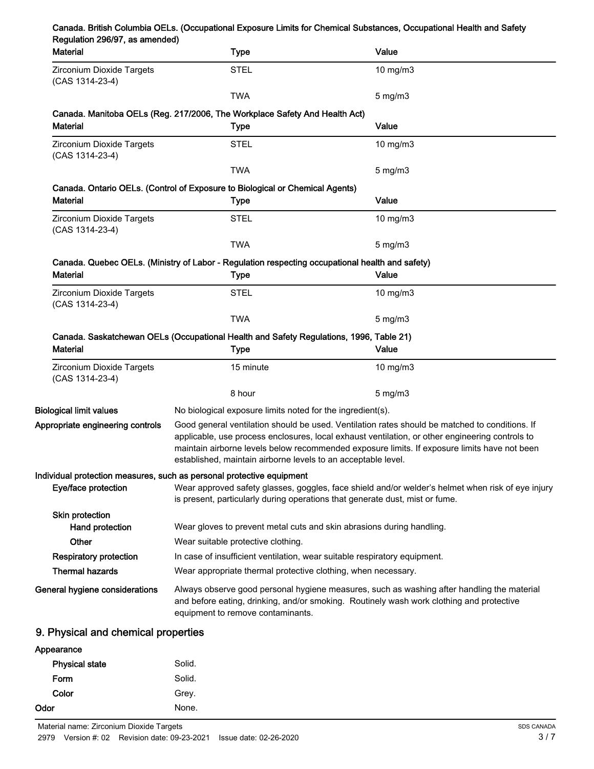|                                | Canada. British Columbia OELs. (Occupational Exposure Limits for Chemical Substances, Occupational Health and Safety |  |
|--------------------------------|----------------------------------------------------------------------------------------------------------------------|--|
| Regulation 296/97, as amended) |                                                                                                                      |  |

| wyulauvii 2000 , ao amonacy<br><b>Material</b> | <b>Type</b>                                                                                                                                                                                                                                                                                                                                                        | Value            |
|------------------------------------------------|--------------------------------------------------------------------------------------------------------------------------------------------------------------------------------------------------------------------------------------------------------------------------------------------------------------------------------------------------------------------|------------------|
| Zirconium Dioxide Targets<br>(CAS 1314-23-4)   | <b>STEL</b>                                                                                                                                                                                                                                                                                                                                                        | 10 mg/m3         |
|                                                | <b>TWA</b>                                                                                                                                                                                                                                                                                                                                                         | $5 \text{ mg/m}$ |
|                                                | Canada. Manitoba OELs (Reg. 217/2006, The Workplace Safety And Health Act)                                                                                                                                                                                                                                                                                         |                  |
| <b>Material</b>                                | Type                                                                                                                                                                                                                                                                                                                                                               | Value            |
| Zirconium Dioxide Targets<br>(CAS 1314-23-4)   | <b>STEL</b>                                                                                                                                                                                                                                                                                                                                                        | $10$ mg/m $3$    |
|                                                | <b>TWA</b>                                                                                                                                                                                                                                                                                                                                                         | $5$ mg/m $3$     |
|                                                | Canada. Ontario OELs. (Control of Exposure to Biological or Chemical Agents)                                                                                                                                                                                                                                                                                       |                  |
| <b>Material</b>                                | <b>Type</b>                                                                                                                                                                                                                                                                                                                                                        | Value            |
| Zirconium Dioxide Targets<br>(CAS 1314-23-4)   | <b>STEL</b>                                                                                                                                                                                                                                                                                                                                                        | 10 mg/m $3$      |
|                                                | <b>TWA</b>                                                                                                                                                                                                                                                                                                                                                         | $5 \text{ mg/m}$ |
|                                                | Canada. Quebec OELs. (Ministry of Labor - Regulation respecting occupational health and safety)                                                                                                                                                                                                                                                                    |                  |
| <b>Material</b>                                | <b>Type</b>                                                                                                                                                                                                                                                                                                                                                        | Value            |
| Zirconium Dioxide Targets<br>(CAS 1314-23-4)   | <b>STEL</b>                                                                                                                                                                                                                                                                                                                                                        | 10 mg/m3         |
|                                                | <b>TWA</b>                                                                                                                                                                                                                                                                                                                                                         | $5$ mg/m $3$     |
| <b>Material</b>                                | Canada. Saskatchewan OELs (Occupational Health and Safety Regulations, 1996, Table 21)<br>Type                                                                                                                                                                                                                                                                     | Value            |
| Zirconium Dioxide Targets<br>(CAS 1314-23-4)   | 15 minute                                                                                                                                                                                                                                                                                                                                                          | $10$ mg/m $3$    |
|                                                | 8 hour                                                                                                                                                                                                                                                                                                                                                             | $5 \text{ mg/m}$ |
| <b>Biological limit values</b>                 | No biological exposure limits noted for the ingredient(s).                                                                                                                                                                                                                                                                                                         |                  |
| Appropriate engineering controls               | Good general ventilation should be used. Ventilation rates should be matched to conditions. If<br>applicable, use process enclosures, local exhaust ventilation, or other engineering controls to<br>maintain airborne levels below recommended exposure limits. If exposure limits have not been<br>established, maintain airborne levels to an acceptable level. |                  |
| Eye/face protection                            | Individual protection measures, such as personal protective equipment<br>Wear approved safety glasses, goggles, face shield and/or welder's helmet when risk of eye injury<br>is present, particularly during operations that generate dust, mist or fume.                                                                                                         |                  |
| Skin protection                                |                                                                                                                                                                                                                                                                                                                                                                    |                  |
| Hand protection                                | Wear gloves to prevent metal cuts and skin abrasions during handling.                                                                                                                                                                                                                                                                                              |                  |
| Other                                          | Wear suitable protective clothing.                                                                                                                                                                                                                                                                                                                                 |                  |
| <b>Respiratory protection</b>                  | In case of insufficient ventilation, wear suitable respiratory equipment.                                                                                                                                                                                                                                                                                          |                  |
| <b>Thermal hazards</b>                         | Wear appropriate thermal protective clothing, when necessary.                                                                                                                                                                                                                                                                                                      |                  |
| General hygiene considerations                 | Always observe good personal hygiene measures, such as washing after handling the material<br>and before eating, drinking, and/or smoking. Routinely wash work clothing and protective<br>equipment to remove contaminants.                                                                                                                                        |                  |
| 9. Physical and chemical properties            |                                                                                                                                                                                                                                                                                                                                                                    |                  |

# Appearance Physical state Solid. Form Solid. Color Grey. Odor None.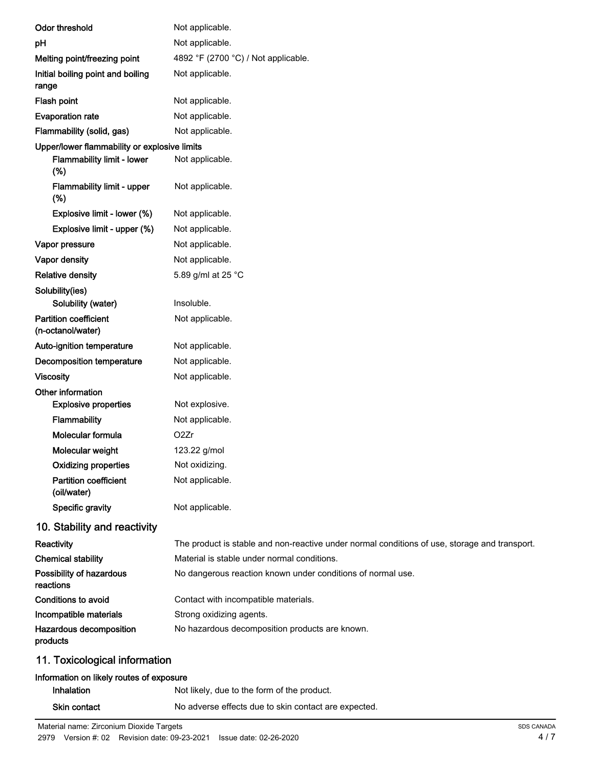| <b>Odor threshold</b>                             | Not applicable.                                                                               |
|---------------------------------------------------|-----------------------------------------------------------------------------------------------|
| pH                                                | Not applicable.                                                                               |
| Melting point/freezing point                      | 4892 °F (2700 °C) / Not applicable.                                                           |
| Initial boiling point and boiling<br>range        | Not applicable.                                                                               |
| Flash point                                       | Not applicable.                                                                               |
| <b>Evaporation rate</b>                           | Not applicable.                                                                               |
| Flammability (solid, gas)                         | Not applicable.                                                                               |
| Upper/lower flammability or explosive limits      |                                                                                               |
| <b>Flammability limit - lower</b><br>(%)          | Not applicable.                                                                               |
| Flammability limit - upper<br>(%)                 | Not applicable.                                                                               |
| Explosive limit - lower (%)                       | Not applicable.                                                                               |
| Explosive limit - upper (%)                       | Not applicable.                                                                               |
| Vapor pressure                                    | Not applicable.                                                                               |
| Vapor density                                     | Not applicable.                                                                               |
| <b>Relative density</b>                           | 5.89 g/ml at 25 °C                                                                            |
| Solubility(ies)<br>Solubility (water)             | Insoluble.                                                                                    |
| <b>Partition coefficient</b><br>(n-octanol/water) | Not applicable.                                                                               |
| Auto-ignition temperature                         | Not applicable.                                                                               |
| Decomposition temperature                         | Not applicable.                                                                               |
| <b>Viscosity</b>                                  | Not applicable.                                                                               |
| Other information                                 |                                                                                               |
| <b>Explosive properties</b>                       | Not explosive.                                                                                |
| <b>Flammability</b>                               | Not applicable.                                                                               |
| Molecular formula                                 | O <sub>2</sub> Zr                                                                             |
| Molecular weight                                  | 123.22 g/mol                                                                                  |
| <b>Oxidizing properties</b>                       | Not oxidizing.                                                                                |
| <b>Partition coefficient</b><br>(oil/water)       | Not applicable.                                                                               |
| Specific gravity                                  | Not applicable.                                                                               |
| 10. Stability and reactivity                      |                                                                                               |
| Reactivity                                        | The product is stable and non-reactive under normal conditions of use, storage and transport. |
| <b>Chemical stability</b>                         | Material is stable under normal conditions.                                                   |
| Possibility of hazardous<br>reactions             | No dangerous reaction known under conditions of normal use.                                   |
| <b>Conditions to avoid</b>                        | Contact with incompatible materials.                                                          |
| Incompatible materials                            | Strong oxidizing agents.                                                                      |
| Hazardous decomposition<br>products               | No hazardous decomposition products are known.                                                |
| 11. Toxicological information                     |                                                                                               |

# Information on likely routes of exposure

| <b>Inhalation</b> | Not likely, due to the form of the product.          |
|-------------------|------------------------------------------------------|
| Skin contact      | No adverse effects due to skin contact are expected. |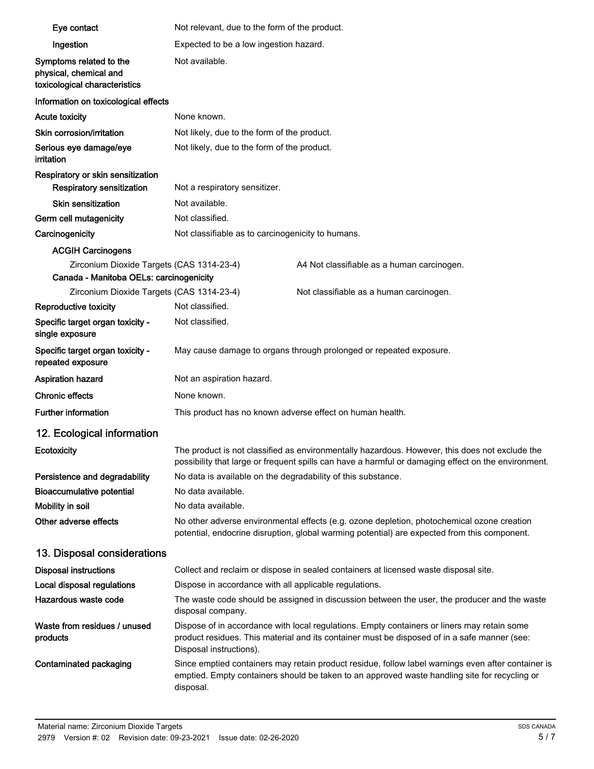| Eye contact                                                                        | Not relevant, due to the form of the product.                                                                                                                                                                          |                                                                                                                                                                                                     |
|------------------------------------------------------------------------------------|------------------------------------------------------------------------------------------------------------------------------------------------------------------------------------------------------------------------|-----------------------------------------------------------------------------------------------------------------------------------------------------------------------------------------------------|
| Ingestion                                                                          | Expected to be a low ingestion hazard.                                                                                                                                                                                 |                                                                                                                                                                                                     |
| Symptoms related to the<br>physical, chemical and<br>toxicological characteristics | Not available.                                                                                                                                                                                                         |                                                                                                                                                                                                     |
| Information on toxicological effects                                               |                                                                                                                                                                                                                        |                                                                                                                                                                                                     |
| <b>Acute toxicity</b>                                                              | None known.                                                                                                                                                                                                            |                                                                                                                                                                                                     |
| Skin corrosion/irritation                                                          | Not likely, due to the form of the product.                                                                                                                                                                            |                                                                                                                                                                                                     |
| Serious eye damage/eye<br>irritation                                               | Not likely, due to the form of the product.                                                                                                                                                                            |                                                                                                                                                                                                     |
| Respiratory or skin sensitization<br>Respiratory sensitization                     | Not a respiratory sensitizer.                                                                                                                                                                                          |                                                                                                                                                                                                     |
| Skin sensitization                                                                 | Not available.                                                                                                                                                                                                         |                                                                                                                                                                                                     |
| Germ cell mutagenicity                                                             | Not classified.                                                                                                                                                                                                        |                                                                                                                                                                                                     |
| Carcinogenicity                                                                    | Not classifiable as to carcinogenicity to humans.                                                                                                                                                                      |                                                                                                                                                                                                     |
| <b>ACGIH Carcinogens</b>                                                           |                                                                                                                                                                                                                        |                                                                                                                                                                                                     |
| Zirconium Dioxide Targets (CAS 1314-23-4)                                          |                                                                                                                                                                                                                        | A4 Not classifiable as a human carcinogen.                                                                                                                                                          |
| Canada - Manitoba OELs: carcinogenicity                                            |                                                                                                                                                                                                                        |                                                                                                                                                                                                     |
| Zirconium Dioxide Targets (CAS 1314-23-4)                                          |                                                                                                                                                                                                                        | Not classifiable as a human carcinogen.                                                                                                                                                             |
| Reproductive toxicity                                                              | Not classified.                                                                                                                                                                                                        |                                                                                                                                                                                                     |
| Specific target organ toxicity -<br>single exposure                                | Not classified.                                                                                                                                                                                                        |                                                                                                                                                                                                     |
| Specific target organ toxicity -<br>repeated exposure                              |                                                                                                                                                                                                                        | May cause damage to organs through prolonged or repeated exposure.                                                                                                                                  |
| <b>Aspiration hazard</b>                                                           | Not an aspiration hazard.                                                                                                                                                                                              |                                                                                                                                                                                                     |
| <b>Chronic effects</b>                                                             | None known.                                                                                                                                                                                                            |                                                                                                                                                                                                     |
| <b>Further information</b>                                                         | This product has no known adverse effect on human health.                                                                                                                                                              |                                                                                                                                                                                                     |
| 12. Ecological information                                                         |                                                                                                                                                                                                                        |                                                                                                                                                                                                     |
| Ecotoxicity                                                                        | The product is not classified as environmentally hazardous. However, this does not exclude the<br>possibility that large or frequent spills can have a harmful or damaging effect on the environment.                  |                                                                                                                                                                                                     |
| Persistence and degradability                                                      | No data is available on the degradability of this substance.                                                                                                                                                           |                                                                                                                                                                                                     |
| <b>Bioaccumulative potential</b>                                                   | No data available.                                                                                                                                                                                                     |                                                                                                                                                                                                     |
| Mobility in soil                                                                   | No data available.                                                                                                                                                                                                     |                                                                                                                                                                                                     |
| Other adverse effects                                                              | No other adverse environmental effects (e.g. ozone depletion, photochemical ozone creation<br>potential, endocrine disruption, global warming potential) are expected from this component.                             |                                                                                                                                                                                                     |
| 13. Disposal considerations                                                        |                                                                                                                                                                                                                        |                                                                                                                                                                                                     |
| <b>Disposal instructions</b>                                                       |                                                                                                                                                                                                                        | Collect and reclaim or dispose in sealed containers at licensed waste disposal site.                                                                                                                |
| Local disposal regulations                                                         | Dispose in accordance with all applicable regulations.                                                                                                                                                                 |                                                                                                                                                                                                     |
| Hazardous waste code                                                               | disposal company.                                                                                                                                                                                                      | The waste code should be assigned in discussion between the user, the producer and the waste                                                                                                        |
| Waste from residues / unused<br>products                                           | Dispose of in accordance with local regulations. Empty containers or liners may retain some<br>product residues. This material and its container must be disposed of in a safe manner (see:<br>Disposal instructions). |                                                                                                                                                                                                     |
| Contaminated packaging                                                             | disposal.                                                                                                                                                                                                              | Since emptied containers may retain product residue, follow label warnings even after container is<br>emptied. Empty containers should be taken to an approved waste handling site for recycling or |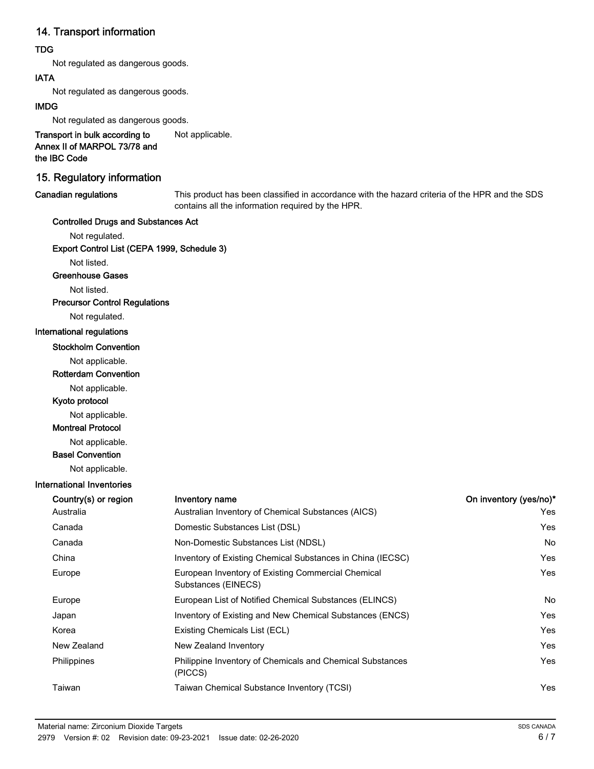# 14. Transport information

# TDG

Not regulated as dangerous goods.

# IATA

Not regulated as dangerous goods.

# IMDG

Not regulated as dangerous goods.

Transport in bulk according to Not applicable. Annex II of MARPOL 73/78 and the IBC Code

# 15. Regulatory information

#### Canadian regulations

This product has been classified in accordance with the hazard criteria of the HPR and the SDS contains all the information required by the HPR.

# Controlled Drugs and Substances Act

Not regulated.

Export Control List (CEPA 1999, Schedule 3)

Not listed.

### Greenhouse Gases

Not listed.

#### Precursor Control Regulations

Not regulated.

# International regulations

#### Stockholm Convention

Not applicable.

#### Rotterdam Convention

Not applicable.

# Kyoto protocol

Not applicable.

# Montreal Protocol

Not applicable.

# Basel Convention

Not applicable.

#### International Inventories

| Country(s) or region | Inventory name                                                            | On inventory (yes/no)* |
|----------------------|---------------------------------------------------------------------------|------------------------|
| Australia            | Australian Inventory of Chemical Substances (AICS)                        | Yes                    |
| Canada               | Domestic Substances List (DSL)                                            | Yes                    |
| Canada               | Non-Domestic Substances List (NDSL)                                       | No.                    |
| China                | Inventory of Existing Chemical Substances in China (IECSC)                | Yes                    |
| Europe               | European Inventory of Existing Commercial Chemical<br>Substances (EINECS) | Yes                    |
| Europe               | European List of Notified Chemical Substances (ELINCS)                    | <b>No</b>              |
| Japan                | Inventory of Existing and New Chemical Substances (ENCS)                  | Yes                    |
| Korea                | Existing Chemicals List (ECL)                                             | Yes                    |
| New Zealand          | New Zealand Inventory                                                     | Yes                    |
| Philippines          | Philippine Inventory of Chemicals and Chemical Substances<br>(PICCS)      | Yes                    |
| Taiwan               | Taiwan Chemical Substance Inventory (TCSI)                                | Yes                    |